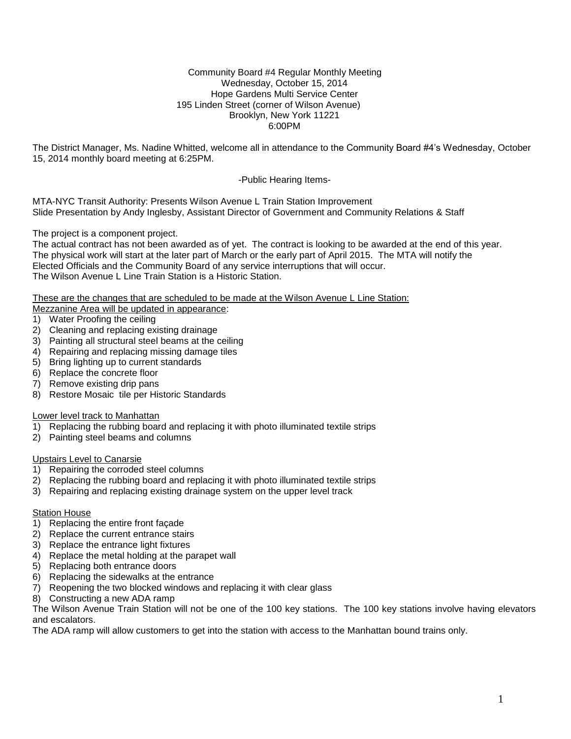### Community Board #4 Regular Monthly Meeting Wednesday, October 15, 2014 Hope Gardens Multi Service Center 195 Linden Street (corner of Wilson Avenue) Brooklyn, New York 11221 6:00PM

The District Manager, Ms. Nadine Whitted, welcome all in attendance to the Community Board #4's Wednesday, October 15, 2014 monthly board meeting at 6:25PM.

-Public Hearing Items-

MTA-NYC Transit Authority: Presents Wilson Avenue L Train Station Improvement Slide Presentation by Andy Inglesby, Assistant Director of Government and Community Relations & Staff

The project is a component project.

The actual contract has not been awarded as of yet. The contract is looking to be awarded at the end of this year. The physical work will start at the later part of March or the early part of April 2015. The MTA will notify the Elected Officials and the Community Board of any service interruptions that will occur. The Wilson Avenue L Line Train Station is a Historic Station.

These are the changes that are scheduled to be made at the Wilson Avenue L Line Station:

- Mezzanine Area will be updated in appearance:
- 1) Water Proofing the ceiling
- 2) Cleaning and replacing existing drainage
- 3) Painting all structural steel beams at the ceiling
- 4) Repairing and replacing missing damage tiles
- 5) Bring lighting up to current standards
- 6) Replace the concrete floor
- 7) Remove existing drip pans
- 8) Restore Mosaic tile per Historic Standards

## Lower level track to Manhattan

- 1) Replacing the rubbing board and replacing it with photo illuminated textile strips
- 2) Painting steel beams and columns

### Upstairs Level to Canarsie

- 1) Repairing the corroded steel columns
- 2) Replacing the rubbing board and replacing it with photo illuminated textile strips
- 3) Repairing and replacing existing drainage system on the upper level track

### **Station House**

- 1) Replacing the entire front façade
- 2) Replace the current entrance stairs
- 3) Replace the entrance light fixtures
- 4) Replace the metal holding at the parapet wall
- 5) Replacing both entrance doors
- 6) Replacing the sidewalks at the entrance
- 7) Reopening the two blocked windows and replacing it with clear glass
- 8) Constructing a new ADA ramp

The Wilson Avenue Train Station will not be one of the 100 key stations. The 100 key stations involve having elevators and escalators.

The ADA ramp will allow customers to get into the station with access to the Manhattan bound trains only.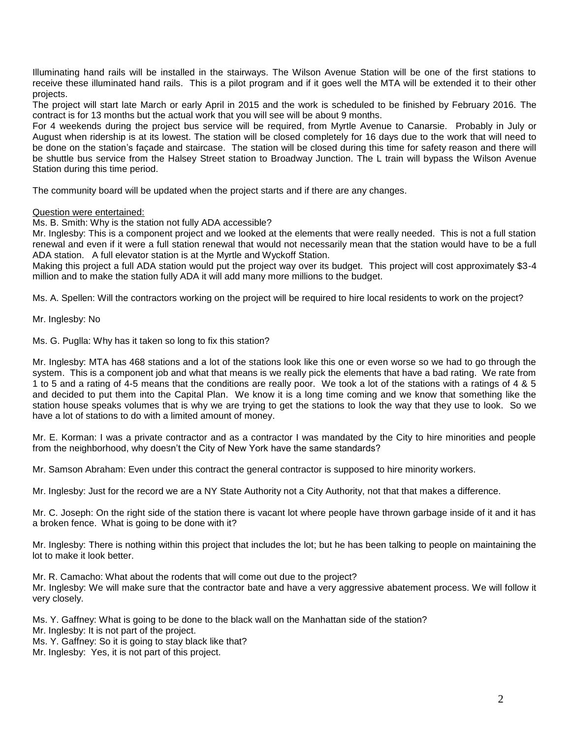Illuminating hand rails will be installed in the stairways. The Wilson Avenue Station will be one of the first stations to receive these illuminated hand rails. This is a pilot program and if it goes well the MTA will be extended it to their other projects.

The project will start late March or early April in 2015 and the work is scheduled to be finished by February 2016. The contract is for 13 months but the actual work that you will see will be about 9 months.

For 4 weekends during the project bus service will be required, from Myrtle Avenue to Canarsie. Probably in July or August when ridership is at its lowest. The station will be closed completely for 16 days due to the work that will need to be done on the station's façade and staircase. The station will be closed during this time for safety reason and there will be shuttle bus service from the Halsey Street station to Broadway Junction. The L train will bypass the Wilson Avenue Station during this time period.

The community board will be updated when the project starts and if there are any changes.

### Question were entertained:

Ms. B. Smith: Why is the station not fully ADA accessible?

Mr. Inglesby: This is a component project and we looked at the elements that were really needed. This is not a full station renewal and even if it were a full station renewal that would not necessarily mean that the station would have to be a full ADA station. A full elevator station is at the Myrtle and Wyckoff Station.

Making this project a full ADA station would put the project way over its budget. This project will cost approximately \$3-4 million and to make the station fully ADA it will add many more millions to the budget.

Ms. A. Spellen: Will the contractors working on the project will be required to hire local residents to work on the project?

Mr. Inglesby: No

Ms. G. Puglla: Why has it taken so long to fix this station?

Mr. Inglesby: MTA has 468 stations and a lot of the stations look like this one or even worse so we had to go through the system. This is a component job and what that means is we really pick the elements that have a bad rating. We rate from 1 to 5 and a rating of 4-5 means that the conditions are really poor. We took a lot of the stations with a ratings of 4 & 5 and decided to put them into the Capital Plan. We know it is a long time coming and we know that something like the station house speaks volumes that is why we are trying to get the stations to look the way that they use to look. So we have a lot of stations to do with a limited amount of money.

Mr. E. Korman: I was a private contractor and as a contractor I was mandated by the City to hire minorities and people from the neighborhood, why doesn't the City of New York have the same standards?

Mr. Samson Abraham: Even under this contract the general contractor is supposed to hire minority workers.

Mr. Inglesby: Just for the record we are a NY State Authority not a City Authority, not that that makes a difference.

Mr. C. Joseph: On the right side of the station there is vacant lot where people have thrown garbage inside of it and it has a broken fence. What is going to be done with it?

Mr. Inglesby: There is nothing within this project that includes the lot; but he has been talking to people on maintaining the lot to make it look better.

Mr. R. Camacho: What about the rodents that will come out due to the project? Mr. Inglesby: We will make sure that the contractor bate and have a very aggressive abatement process. We will follow it very closely.

Ms. Y. Gaffney: What is going to be done to the black wall on the Manhattan side of the station?

Mr. Inglesby: It is not part of the project.

Ms. Y. Gaffney: So it is going to stay black like that?

Mr. Inglesby: Yes, it is not part of this project.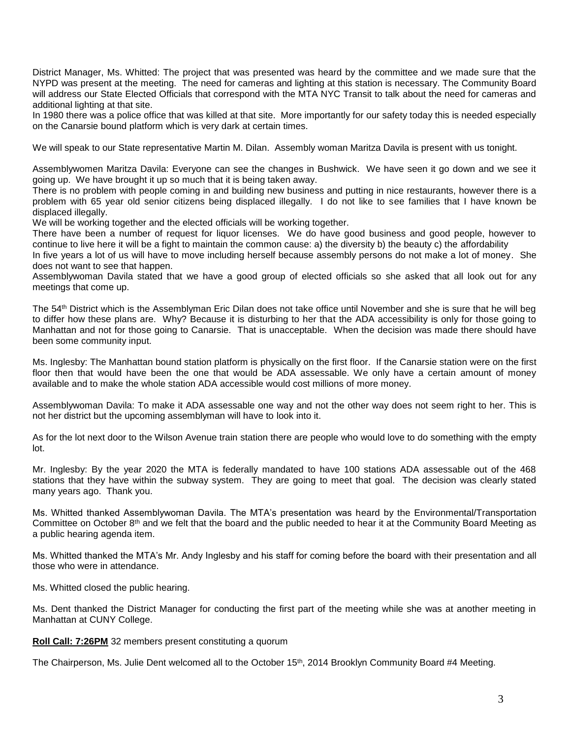District Manager, Ms. Whitted: The project that was presented was heard by the committee and we made sure that the NYPD was present at the meeting. The need for cameras and lighting at this station is necessary. The Community Board will address our State Elected Officials that correspond with the MTA NYC Transit to talk about the need for cameras and additional lighting at that site.

In 1980 there was a police office that was killed at that site. More importantly for our safety today this is needed especially on the Canarsie bound platform which is very dark at certain times.

We will speak to our State representative Martin M. Dilan. Assembly woman Maritza Davila is present with us tonight.

Assemblywomen Maritza Davila: Everyone can see the changes in Bushwick. We have seen it go down and we see it going up. We have brought it up so much that it is being taken away.

There is no problem with people coming in and building new business and putting in nice restaurants, however there is a problem with 65 year old senior citizens being displaced illegally. I do not like to see families that I have known be displaced illegally.

We will be working together and the elected officials will be working together.

There have been a number of request for liquor licenses. We do have good business and good people, however to continue to live here it will be a fight to maintain the common cause: a) the diversity b) the beauty c) the affordability

In five years a lot of us will have to move including herself because assembly persons do not make a lot of money. She does not want to see that happen.

Assemblywoman Davila stated that we have a good group of elected officials so she asked that all look out for any meetings that come up.

The 54th District which is the Assemblyman Eric Dilan does not take office until November and she is sure that he will beg to differ how these plans are. Why? Because it is disturbing to her that the ADA accessibility is only for those going to Manhattan and not for those going to Canarsie. That is unacceptable. When the decision was made there should have been some community input.

Ms. Inglesby: The Manhattan bound station platform is physically on the first floor. If the Canarsie station were on the first floor then that would have been the one that would be ADA assessable. We only have a certain amount of money available and to make the whole station ADA accessible would cost millions of more money.

Assemblywoman Davila: To make it ADA assessable one way and not the other way does not seem right to her. This is not her district but the upcoming assemblyman will have to look into it.

As for the lot next door to the Wilson Avenue train station there are people who would love to do something with the empty lot.

Mr. Inglesby: By the year 2020 the MTA is federally mandated to have 100 stations ADA assessable out of the 468 stations that they have within the subway system. They are going to meet that goal. The decision was clearly stated many years ago. Thank you.

Ms. Whitted thanked Assemblywoman Davila. The MTA's presentation was heard by the Environmental/Transportation Committee on October 8<sup>th</sup> and we felt that the board and the public needed to hear it at the Community Board Meeting as a public hearing agenda item.

Ms. Whitted thanked the MTA's Mr. Andy Inglesby and his staff for coming before the board with their presentation and all those who were in attendance.

Ms. Whitted closed the public hearing.

Ms. Dent thanked the District Manager for conducting the first part of the meeting while she was at another meeting in Manhattan at CUNY College.

**Roll Call: 7:26PM** 32 members present constituting a quorum

The Chairperson, Ms. Julie Dent welcomed all to the October 15<sup>th</sup>, 2014 Brooklyn Community Board #4 Meeting.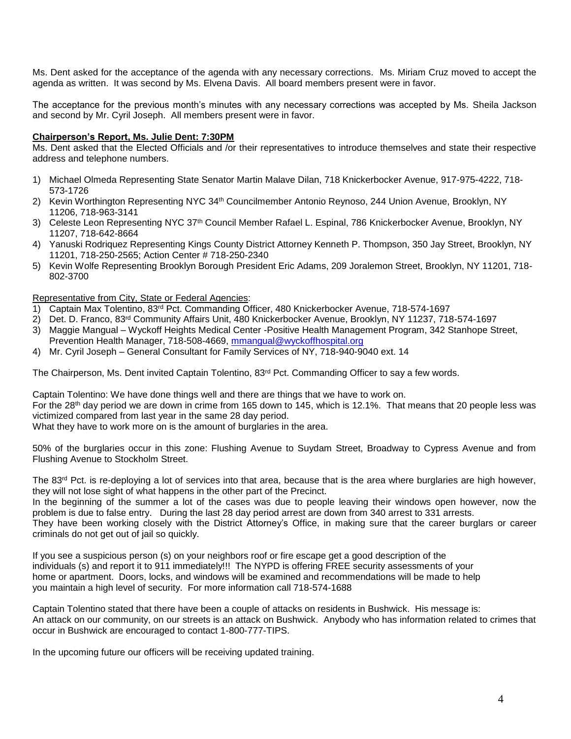Ms. Dent asked for the acceptance of the agenda with any necessary corrections. Ms. Miriam Cruz moved to accept the agenda as written. It was second by Ms. Elvena Davis. All board members present were in favor.

The acceptance for the previous month's minutes with any necessary corrections was accepted by Ms. Sheila Jackson and second by Mr. Cyril Joseph. All members present were in favor.

# **Chairperson's Report, Ms. Julie Dent: 7:30PM**

Ms. Dent asked that the Elected Officials and /or their representatives to introduce themselves and state their respective address and telephone numbers.

- 1) Michael Olmeda Representing State Senator Martin Malave Dilan, 718 Knickerbocker Avenue, 917-975-4222, 718- 573-1726
- 2) Kevin Worthington Representing NYC 34th Councilmember Antonio Reynoso, 244 Union Avenue, Brooklyn, NY 11206, 718-963-3141
- 3) Celeste Leon Representing NYC 37th Council Member Rafael L. Espinal, 786 Knickerbocker Avenue, Brooklyn, NY 11207, 718-642-8664
- 4) Yanuski Rodriquez Representing Kings County District Attorney Kenneth P. Thompson, 350 Jay Street, Brooklyn, NY 11201, 718-250-2565; Action Center # 718-250-2340
- 5) Kevin Wolfe Representing Brooklyn Borough President Eric Adams, 209 Joralemon Street, Brooklyn, NY 11201, 718- 802-3700

### Representative from City, State or Federal Agencies:

- 1) Captain Max Tolentino, 83rd Pct. Commanding Officer, 480 Knickerbocker Avenue, 718-574-1697
- 2) Det. D. Franco, 83rd Community Affairs Unit, 480 Knickerbocker Avenue, Brooklyn, NY 11237, 718-574-1697
- 3) Maggie Mangual Wyckoff Heights Medical Center -Positive Health Management Program, 342 Stanhope Street, Prevention Health Manager, 718-508-4669, [mmangual@wyckoffhospital.org](mailto:mmangual@wyckoffhospital.org)
- 4) Mr. Cyril Joseph General Consultant for Family Services of NY, 718-940-9040 ext. 14

The Chairperson, Ms. Dent invited Captain Tolentino, 83<sup>rd</sup> Pct. Commanding Officer to say a few words.

Captain Tolentino: We have done things well and there are things that we have to work on. For the 28<sup>th</sup> day period we are down in crime from 165 down to 145, which is 12.1%. That means that 20 people less was victimized compared from last year in the same 28 day period.

What they have to work more on is the amount of burglaries in the area.

50% of the burglaries occur in this zone: Flushing Avenue to Suydam Street, Broadway to Cypress Avenue and from Flushing Avenue to Stockholm Street.

The 83<sup>rd</sup> Pct. is re-deploying a lot of services into that area, because that is the area where burglaries are high however, they will not lose sight of what happens in the other part of the Precinct.

In the beginning of the summer a lot of the cases was due to people leaving their windows open however, now the problem is due to false entry. During the last 28 day period arrest are down from 340 arrest to 331 arrests. They have been working closely with the District Attorney's Office, in making sure that the career burglars or career criminals do not get out of jail so quickly.

If you see a suspicious person (s) on your neighbors roof or fire escape get a good description of the individuals (s) and report it to 911 immediately!!! The NYPD is offering FREE security assessments of your home or apartment. Doors, locks, and windows will be examined and recommendations will be made to help you maintain a high level of security. For more information call 718-574-1688

Captain Tolentino stated that there have been a couple of attacks on residents in Bushwick. His message is: An attack on our community, on our streets is an attack on Bushwick. Anybody who has information related to crimes that occur in Bushwick are encouraged to contact 1-800-777-TIPS.

In the upcoming future our officers will be receiving updated training.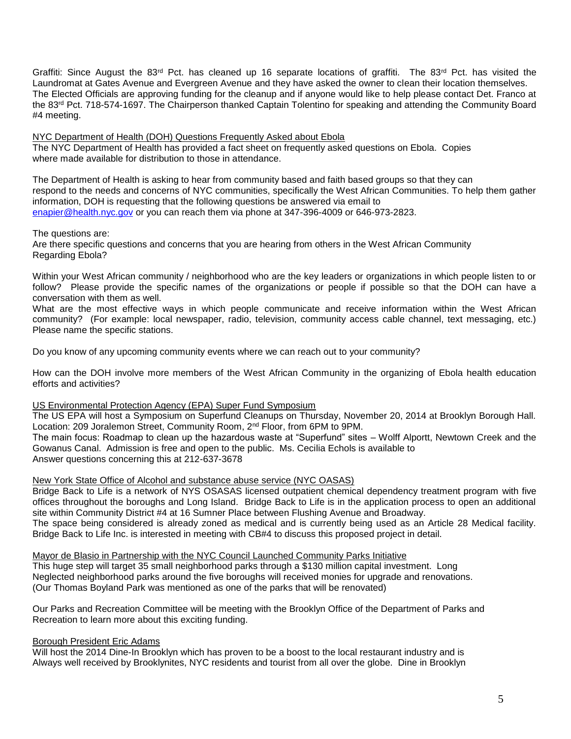Graffiti: Since August the 83<sup>rd</sup> Pct. has cleaned up 16 separate locations of graffiti. The 83<sup>rd</sup> Pct. has visited the Laundromat at Gates Avenue and Evergreen Avenue and they have asked the owner to clean their location themselves. The Elected Officials are approving funding for the cleanup and if anyone would like to help please contact Det. Franco at the 83<sup>rd</sup> Pct. 718-574-1697. The Chairperson thanked Captain Tolentino for speaking and attending the Community Board #4 meeting.

NYC Department of Health (DOH) Questions Frequently Asked about Ebola The NYC Department of Health has provided a fact sheet on frequently asked questions on Ebola. Copies where made available for distribution to those in attendance.

The Department of Health is asking to hear from community based and faith based groups so that they can respond to the needs and concerns of NYC communities, specifically the West African Communities. To help them gather information, DOH is requesting that the following questions be answered via email to [enapier@health.nyc.gov](mailto:enapier@health.nyc.gov) or you can reach them via phone at 347-396-4009 or 646-973-2823.

## The questions are:

Are there specific questions and concerns that you are hearing from others in the West African Community Regarding Ebola?

Within your West African community / neighborhood who are the key leaders or organizations in which people listen to or follow? Please provide the specific names of the organizations or people if possible so that the DOH can have a conversation with them as well.

What are the most effective ways in which people communicate and receive information within the West African community? (For example: local newspaper, radio, television, community access cable channel, text messaging, etc.) Please name the specific stations.

Do you know of any upcoming community events where we can reach out to your community?

How can the DOH involve more members of the West African Community in the organizing of Ebola health education efforts and activities?

# US Environmental Protection Agency (EPA) Super Fund Symposium

The US EPA will host a Symposium on Superfund Cleanups on Thursday, November 20, 2014 at Brooklyn Borough Hall. Location: 209 Joralemon Street, Community Room, 2<sup>nd</sup> Floor, from 6PM to 9PM.

The main focus: Roadmap to clean up the hazardous waste at "Superfund" sites – Wolff Alportt, Newtown Creek and the Gowanus Canal. Admission is free and open to the public. Ms. Cecilia Echols is available to Answer questions concerning this at 212-637-3678

New York State Office of Alcohol and substance abuse service (NYC OASAS)

Bridge Back to Life is a network of NYS OSASAS licensed outpatient chemical dependency treatment program with five offices throughout the boroughs and Long Island. Bridge Back to Life is in the application process to open an additional site within Community District #4 at 16 Sumner Place between Flushing Avenue and Broadway.

The space being considered is already zoned as medical and is currently being used as an Article 28 Medical facility. Bridge Back to Life Inc. is interested in meeting with CB#4 to discuss this proposed project in detail.

Mayor de Blasio in Partnership with the NYC Council Launched Community Parks Initiative

This huge step will target 35 small neighborhood parks through a \$130 million capital investment. Long Neglected neighborhood parks around the five boroughs will received monies for upgrade and renovations. (Our Thomas Boyland Park was mentioned as one of the parks that will be renovated)

Our Parks and Recreation Committee will be meeting with the Brooklyn Office of the Department of Parks and Recreation to learn more about this exciting funding.

# Borough President Eric Adams

Will host the 2014 Dine-In Brooklyn which has proven to be a boost to the local restaurant industry and is Always well received by Brooklynites, NYC residents and tourist from all over the globe. Dine in Brooklyn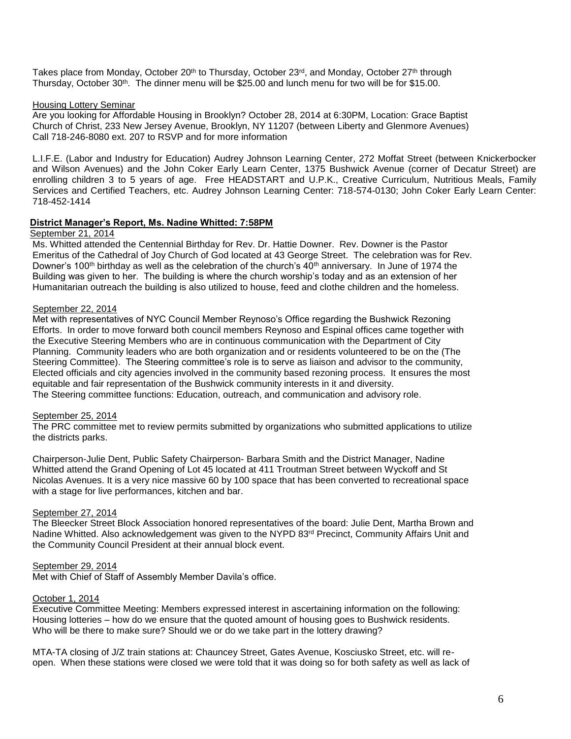Takes place from Monday, October 20<sup>th</sup> to Thursday, October 23<sup>rd</sup>, and Monday, October 27<sup>th</sup> through Thursday, October 30<sup>th</sup>. The dinner menu will be \$25.00 and lunch menu for two will be for \$15.00.

## Housing Lottery Seminar

Are you looking for Affordable Housing in Brooklyn? October 28, 2014 at 6:30PM, Location: Grace Baptist Church of Christ, 233 New Jersey Avenue, Brooklyn, NY 11207 (between Liberty and Glenmore Avenues) Call 718-246-8080 ext. 207 to RSVP and for more information

L.I.F.E. (Labor and Industry for Education) Audrey Johnson Learning Center, 272 Moffat Street (between Knickerbocker and Wilson Avenues) and the John Coker Early Learn Center, 1375 Bushwick Avenue (corner of Decatur Street) are enrolling children 3 to 5 years of age. Free HEADSTART and U.P.K., Creative Curriculum, Nutritious Meals, Family Services and Certified Teachers, etc. Audrey Johnson Learning Center: 718-574-0130; John Coker Early Learn Center: 718-452-1414

## **District Manager's Report, Ms. Nadine Whitted: 7:58PM**

## September 21, 2014

Ms. Whitted attended the Centennial Birthday for Rev. Dr. Hattie Downer. Rev. Downer is the Pastor Emeritus of the Cathedral of Joy Church of God located at 43 George Street. The celebration was for Rev. Downer's 100<sup>th</sup> birthday as well as the celebration of the church's  $40<sup>th</sup>$  anniversary. In June of 1974 the Building was given to her. The building is where the church worship's today and as an extension of her Humanitarian outreach the building is also utilized to house, feed and clothe children and the homeless.

# September 22, 2014

Met with representatives of NYC Council Member Reynoso's Office regarding the Bushwick Rezoning Efforts. In order to move forward both council members Reynoso and Espinal offices came together with the Executive Steering Members who are in continuous communication with the Department of City Planning. Community leaders who are both organization and or residents volunteered to be on the (The Steering Committee). The Steering committee's role is to serve as liaison and advisor to the community, Elected officials and city agencies involved in the community based rezoning process. It ensures the most equitable and fair representation of the Bushwick community interests in it and diversity. The Steering committee functions: Education, outreach, and communication and advisory role.

# September 25, 2014

The PRC committee met to review permits submitted by organizations who submitted applications to utilize the districts parks.

Chairperson-Julie Dent, Public Safety Chairperson- Barbara Smith and the District Manager, Nadine Whitted attend the Grand Opening of Lot 45 located at 411 Troutman Street between Wyckoff and St Nicolas Avenues. It is a very nice massive 60 by 100 space that has been converted to recreational space with a stage for live performances, kitchen and bar.

# September 27, 2014

The Bleecker Street Block Association honored representatives of the board: Julie Dent, Martha Brown and Nadine Whitted. Also acknowledgement was given to the NYPD 83<sup>rd</sup> Precinct, Community Affairs Unit and the Community Council President at their annual block event.

# September 29, 2014

Met with Chief of Staff of Assembly Member Davila's office.

# October 1, 2014

Executive Committee Meeting: Members expressed interest in ascertaining information on the following: Housing lotteries – how do we ensure that the quoted amount of housing goes to Bushwick residents. Who will be there to make sure? Should we or do we take part in the lottery drawing?

MTA-TA closing of J/Z train stations at: Chauncey Street, Gates Avenue, Kosciusko Street, etc. will reopen. When these stations were closed we were told that it was doing so for both safety as well as lack of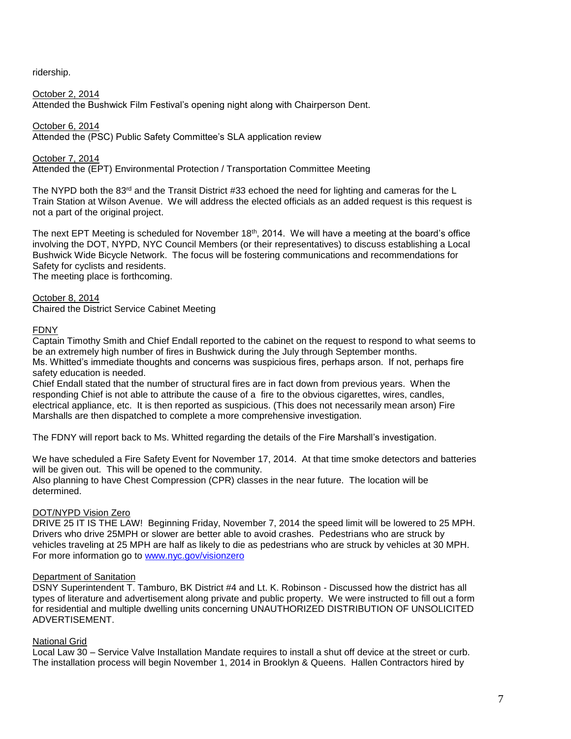ridership.

## October 2, 2014

Attended the Bushwick Film Festival's opening night along with Chairperson Dent.

October 6, 2014

Attended the (PSC) Public Safety Committee's SLA application review

October 7, 2014

Attended the (EPT) Environmental Protection / Transportation Committee Meeting

The NYPD both the 83<sup>rd</sup> and the Transit District #33 echoed the need for lighting and cameras for the L Train Station at Wilson Avenue. We will address the elected officials as an added request is this request is not a part of the original project.

The next EPT Meeting is scheduled for November 18<sup>th</sup>, 2014. We will have a meeting at the board's office involving the DOT, NYPD, NYC Council Members (or their representatives) to discuss establishing a Local Bushwick Wide Bicycle Network. The focus will be fostering communications and recommendations for Safety for cyclists and residents.

The meeting place is forthcoming.

## October 8, 2014

Chaired the District Service Cabinet Meeting

### FDNY

Captain Timothy Smith and Chief Endall reported to the cabinet on the request to respond to what seems to be an extremely high number of fires in Bushwick during the July through September months. Ms. Whitted's immediate thoughts and concerns was suspicious fires, perhaps arson. If not, perhaps fire safety education is needed.

Chief Endall stated that the number of structural fires are in fact down from previous years. When the responding Chief is not able to attribute the cause of a fire to the obvious cigarettes, wires, candles, electrical appliance, etc. It is then reported as suspicious. (This does not necessarily mean arson) Fire Marshalls are then dispatched to complete a more comprehensive investigation.

The FDNY will report back to Ms. Whitted regarding the details of the Fire Marshall's investigation.

We have scheduled a Fire Safety Event for November 17, 2014. At that time smoke detectors and batteries will be given out. This will be opened to the community.

Also planning to have Chest Compression (CPR) classes in the near future. The location will be determined.

### DOT/NYPD Vision Zero

DRIVE 25 IT IS THE LAW! Beginning Friday, November 7, 2014 the speed limit will be lowered to 25 MPH. Drivers who drive 25MPH or slower are better able to avoid crashes. Pedestrians who are struck by vehicles traveling at 25 MPH are half as likely to die as pedestrians who are struck by vehicles at 30 MPH. For more information go to [www.nyc.gov/visionzero](http://www.nyc.gov/visionzero) 

## Department of Sanitation

DSNY Superintendent T. Tamburo, BK District #4 and Lt. K. Robinson - Discussed how the district has all types of literature and advertisement along private and public property. We were instructed to fill out a form for residential and multiple dwelling units concerning UNAUTHORIZED DISTRIBUTION OF UNSOLICITED ADVERTISEMENT.

### National Grid

Local Law 30 – Service Valve Installation Mandate requires to install a shut off device at the street or curb. The installation process will begin November 1, 2014 in Brooklyn & Queens. Hallen Contractors hired by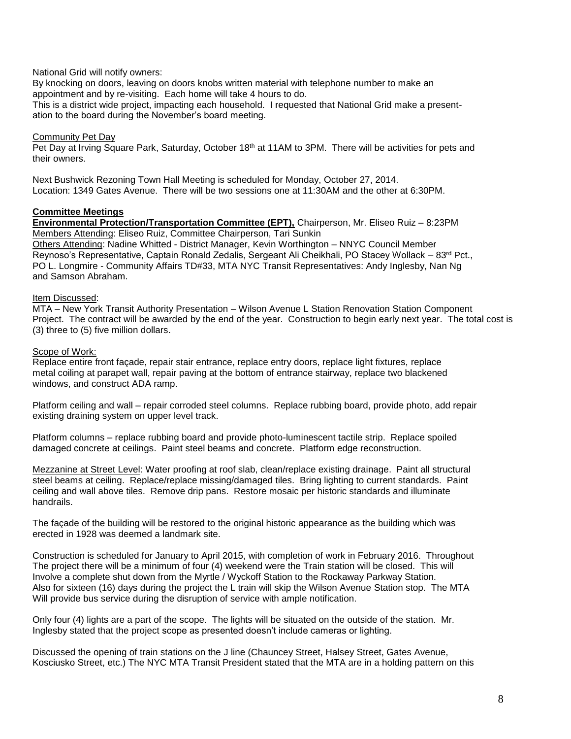## National Grid will notify owners:

By knocking on doors, leaving on doors knobs written material with telephone number to make an appointment and by re-visiting. Each home will take 4 hours to do.

This is a district wide project, impacting each household. I requested that National Grid make a presentation to the board during the November's board meeting.

## Community Pet Day

Pet Day at Irving Square Park, Saturday, October 18<sup>th</sup> at 11AM to 3PM. There will be activities for pets and their owners.

Next Bushwick Rezoning Town Hall Meeting is scheduled for Monday, October 27, 2014. Location: 1349 Gates Avenue. There will be two sessions one at 11:30AM and the other at 6:30PM.

### **Committee Meetings**

**Environmental Protection/Transportation Committee (EPT),** Chairperson, Mr. Eliseo Ruiz – 8:23PM Members Attending: Eliseo Ruiz, Committee Chairperson, Tari Sunkin Others Attending: Nadine Whitted - District Manager, Kevin Worthington – NNYC Council Member Reynoso's Representative, Captain Ronald Zedalis, Sergeant Ali Cheikhali, PO Stacey Wollack – 83rd Pct., PO L. Longmire - Community Affairs TD#33, MTA NYC Transit Representatives: Andy Inglesby, Nan Ng and Samson Abraham.

### Item Discussed:

MTA – New York Transit Authority Presentation – Wilson Avenue L Station Renovation Station Component Project. The contract will be awarded by the end of the year. Construction to begin early next year. The total cost is (3) three to (5) five million dollars.

## Scope of Work:

Replace entire front façade, repair stair entrance, replace entry doors, replace light fixtures, replace metal coiling at parapet wall, repair paving at the bottom of entrance stairway, replace two blackened windows, and construct ADA ramp.

Platform ceiling and wall – repair corroded steel columns. Replace rubbing board, provide photo, add repair existing draining system on upper level track.

Platform columns – replace rubbing board and provide photo-luminescent tactile strip. Replace spoiled damaged concrete at ceilings. Paint steel beams and concrete. Platform edge reconstruction.

Mezzanine at Street Level: Water proofing at roof slab, clean/replace existing drainage. Paint all structural steel beams at ceiling. Replace/replace missing/damaged tiles. Bring lighting to current standards. Paint ceiling and wall above tiles. Remove drip pans. Restore mosaic per historic standards and illuminate handrails.

The façade of the building will be restored to the original historic appearance as the building which was erected in 1928 was deemed a landmark site.

Construction is scheduled for January to April 2015, with completion of work in February 2016. Throughout The project there will be a minimum of four (4) weekend were the Train station will be closed. This will Involve a complete shut down from the Myrtle / Wyckoff Station to the Rockaway Parkway Station. Also for sixteen (16) days during the project the L train will skip the Wilson Avenue Station stop. The MTA Will provide bus service during the disruption of service with ample notification.

Only four (4) lights are a part of the scope. The lights will be situated on the outside of the station. Mr. Inglesby stated that the project scope as presented doesn't include cameras or lighting.

Discussed the opening of train stations on the J line (Chauncey Street, Halsey Street, Gates Avenue, Kosciusko Street, etc.) The NYC MTA Transit President stated that the MTA are in a holding pattern on this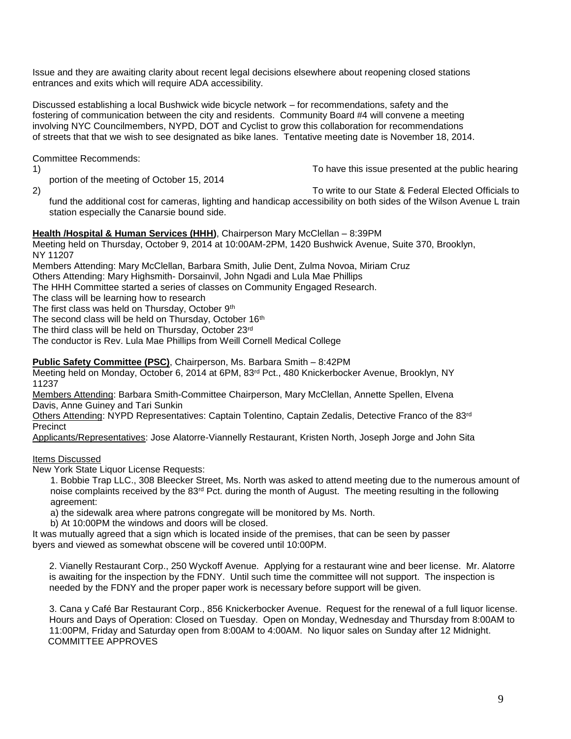Issue and they are awaiting clarity about recent legal decisions elsewhere about reopening closed stations entrances and exits which will require ADA accessibility.

Discussed establishing a local Bushwick wide bicycle network – for recommendations, safety and the fostering of communication between the city and residents. Community Board #4 will convene a meeting involving NYC Councilmembers, NYPD, DOT and Cyclist to grow this collaboration for recommendations of streets that that we wish to see designated as bike lanes. Tentative meeting date is November 18, 2014.

Committee Recommends:

1) To have this issue presented at the public hearing

2) To write to our State & Federal Elected Officials to fund the additional cost for cameras, lighting and handicap accessibility on both sides of the Wilson Avenue L train station especially the Canarsie bound side.

# **Health /Hospital & Human Services (HHH)**, Chairperson Mary McClellan – 8:39PM

Meeting held on Thursday, October 9, 2014 at 10:00AM-2PM, 1420 Bushwick Avenue, Suite 370, Brooklyn, NY 11207

Members Attending: Mary McClellan, Barbara Smith, Julie Dent, Zulma Novoa, Miriam Cruz

Others Attending: Mary Highsmith- Dorsainvil, John Ngadi and Lula Mae Phillips

The HHH Committee started a series of classes on Community Engaged Research.

The class will be learning how to research

The first class was held on Thursday, October 9th

portion of the meeting of October 15, 2014

The second class will be held on Thursday, October 16<sup>th</sup>

The third class will be held on Thursday, October 23rd

The conductor is Rev. Lula Mae Phillips from Weill Cornell Medical College

**Public Safety Committee (PSC)**, Chairperson, Ms. Barbara Smith – 8:42PM

Meeting held on Monday, October 6, 2014 at 6PM, 83rd Pct., 480 Knickerbocker Avenue, Brooklyn, NY 11237

Members Attending: Barbara Smith-Committee Chairperson, Mary McClellan, Annette Spellen, Elvena Davis, Anne Guiney and Tari Sunkin

Others Attending: NYPD Representatives: Captain Tolentino, Captain Zedalis, Detective Franco of the 83rd Precinct

Applicants/Representatives: Jose Alatorre-Viannelly Restaurant, Kristen North, Joseph Jorge and John Sita

# Items Discussed

New York State Liquor License Requests:

1. Bobbie Trap LLC., 308 Bleecker Street, Ms. North was asked to attend meeting due to the numerous amount of noise complaints received by the 83<sup>rd</sup> Pct. during the month of August. The meeting resulting in the following agreement:

a) the sidewalk area where patrons congregate will be monitored by Ms. North.

b) At 10:00PM the windows and doors will be closed.

It was mutually agreed that a sign which is located inside of the premises, that can be seen by passer byers and viewed as somewhat obscene will be covered until 10:00PM.

2. Vianelly Restaurant Corp., 250 Wyckoff Avenue. Applying for a restaurant wine and beer license. Mr. Alatorre is awaiting for the inspection by the FDNY. Until such time the committee will not support. The inspection is needed by the FDNY and the proper paper work is necessary before support will be given.

3. Cana y Café Bar Restaurant Corp., 856 Knickerbocker Avenue. Request for the renewal of a full liquor license. Hours and Days of Operation: Closed on Tuesday. Open on Monday, Wednesday and Thursday from 8:00AM to 11:00PM, Friday and Saturday open from 8:00AM to 4:00AM. No liquor sales on Sunday after 12 Midnight. COMMITTEE APPROVES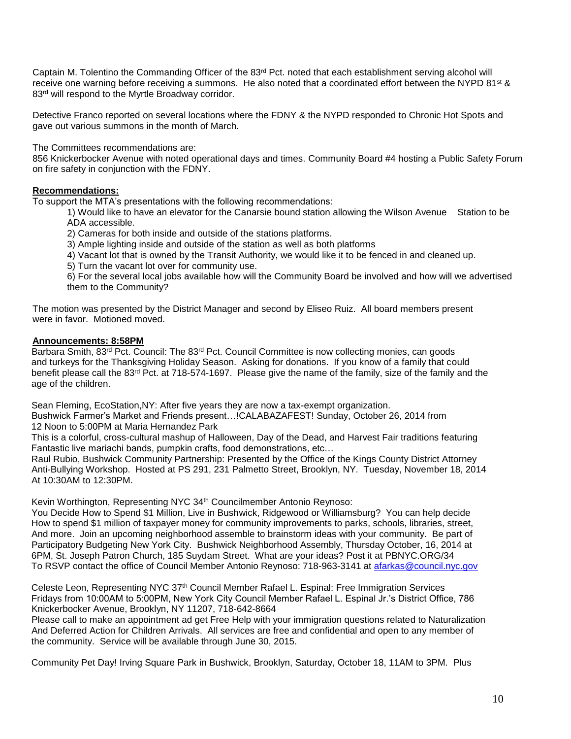Captain M. Tolentino the Commanding Officer of the 83<sup>rd</sup> Pct. noted that each establishment serving alcohol will receive one warning before receiving a summons. He also noted that a coordinated effort between the NYPD 81<sup>st</sup> & 83<sup>rd</sup> will respond to the Myrtle Broadway corridor.

Detective Franco reported on several locations where the FDNY & the NYPD responded to Chronic Hot Spots and gave out various summons in the month of March.

The Committees recommendations are:

856 Knickerbocker Avenue with noted operational days and times. Community Board #4 hosting a Public Safety Forum on fire safety in conjunction with the FDNY.

# **Recommendations:**

To support the MTA's presentations with the following recommendations:

1) Would like to have an elevator for the Canarsie bound station allowing the Wilson Avenue Station to be ADA accessible.

2) Cameras for both inside and outside of the stations platforms.

3) Ample lighting inside and outside of the station as well as both platforms

4) Vacant lot that is owned by the Transit Authority, we would like it to be fenced in and cleaned up.

5) Turn the vacant lot over for community use.

6) For the several local jobs available how will the Community Board be involved and how will we advertised them to the Community?

The motion was presented by the District Manager and second by Eliseo Ruiz. All board members present were in favor. Motioned moved.

## **Announcements: 8:58PM**

Barbara Smith, 83<sup>rd</sup> Pct. Council: The 83<sup>rd</sup> Pct. Council Committee is now collecting monies, can goods and turkeys for the Thanksgiving Holiday Season. Asking for donations. If you know of a family that could benefit please call the 83rd Pct. at 718-574-1697. Please give the name of the family, size of the family and the age of the children.

Sean Fleming, EcoStation,NY: After five years they are now a tax-exempt organization.

 Bushwick Farmer's Market and Friends present…!CALABAZAFEST! Sunday, October 26, 2014 from 12 Noon to 5:00PM at Maria Hernandez Park

 This is a colorful, cross-cultural mashup of Halloween, Day of the Dead, and Harvest Fair traditions featuring Fantastic live mariachi bands, pumpkin crafts, food demonstrations, etc…

 Raul Rubio, Bushwick Community Partnership: Presented by the Office of the Kings County District Attorney Anti-Bullying Workshop. Hosted at PS 291, 231 Palmetto Street, Brooklyn, NY. Tuesday, November 18, 2014 At 10:30AM to 12:30PM.

Kevin Worthington, Representing NYC 34th Councilmember Antonio Reynoso:

 You Decide How to Spend \$1 Million, Live in Bushwick, Ridgewood or Williamsburg? You can help decide How to spend \$1 million of taxpayer money for community improvements to parks, schools, libraries, street, And more. Join an upcoming neighborhood assemble to brainstorm ideas with your community. Be part of Participatory Budgeting New York City. Bushwick Neighborhood Assembly, Thursday October, 16, 2014 at 6PM, St. Joseph Patron Church, 185 Suydam Street. What are your ideas? Post it at PBNYC.ORG/34 To RSVP contact the office of Council Member Antonio Reynoso: 718-963-3141 at [afarkas@council.nyc.gov](mailto:afarkas@council.nyc.gov)

 Celeste Leon, Representing NYC 37th Council Member Rafael L. Espinal: Free Immigration Services Fridays from 10:00AM to 5:00PM, New York City Council Member Rafael L. Espinal Jr.'s District Office, 786 Knickerbocker Avenue, Brooklyn, NY 11207, 718-642-8664

 Please call to make an appointment ad get Free Help with your immigration questions related to Naturalization And Deferred Action for Children Arrivals. All services are free and confidential and open to any member of the community. Service will be available through June 30, 2015.

Community Pet Day! Irving Square Park in Bushwick, Brooklyn, Saturday, October 18, 11AM to 3PM. Plus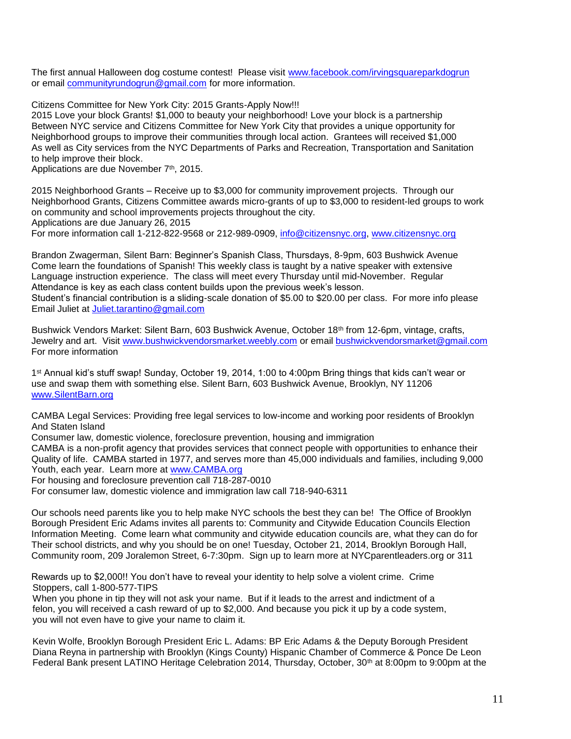The first annual Halloween dog costume contest! Please visit [www.facebook.com/irvingsquareparkdogrun](http://www.facebook.com/irvingsquareparkdogrun) or email [communityrundogrun@gmail.com](mailto:communityrundogrun@gmail.com) for more information.

Citizens Committee for New York City: 2015 Grants-Apply Now!!!

 2015 Love your block Grants! \$1,000 to beauty your neighborhood! Love your block is a partnership Between NYC service and Citizens Committee for New York City that provides a unique opportunity for Neighborhood groups to improve their communities through local action. Grantees will received \$1,000 As well as City services from the NYC Departments of Parks and Recreation, Transportation and Sanitation to help improve their block.

Applications are due November 7<sup>th</sup>, 2015.

 2015 Neighborhood Grants – Receive up to \$3,000 for community improvement projects. Through our Neighborhood Grants, Citizens Committee awards micro-grants of up to \$3,000 to resident-led groups to work on community and school improvements projects throughout the city.

Applications are due January 26, 2015

For more information call 1-212-822-9568 or 212-989-0909, [info@citizensnyc.org,](mailto:info@citizensnyc.org) [www.citizensnyc.org](http://www.citizensnyc.org/) 

 Brandon Zwagerman, Silent Barn: Beginner's Spanish Class, Thursdays, 8-9pm, 603 Bushwick Avenue Come learn the foundations of Spanish! This weekly class is taught by a native speaker with extensive Language instruction experience. The class will meet every Thursday until mid-November. Regular Attendance is key as each class content builds upon the previous week's lesson.

 Student's financial contribution is a sliding-scale donation of \$5.00 to \$20.00 per class. For more info please Email Juliet at [Juliet.tarantino@gmail.com](mailto:Juliet.tarantino@gmail.com)

Bushwick Vendors Market: Silent Barn, 603 Bushwick Avenue, October 18<sup>th</sup> from 12-6pm, vintage, crafts, Jewelry and art. Visit [www.bushwickvendorsmarket.weebly.com](http://www.bushwickvendorsmarket.weebly.com/) or email [bushwickvendorsmarket@gmail.com](mailto:bushwickvendorsmarket@gmail.com) For more information

 1 st Annual kid's stuff swap! Sunday, October 19, 2014, 1:00 to 4:00pm Bring things that kids can't wear or use and swap them with something else. Silent Barn, 603 Bushwick Avenue, Brooklyn, NY 11206 [www.SilentBarn.org](http://www.silentbarn.org/)

 CAMBA Legal Services: Providing free legal services to low-income and working poor residents of Brooklyn And Staten Island

Consumer law, domestic violence, foreclosure prevention, housing and immigration

 CAMBA is a non-profit agency that provides services that connect people with opportunities to enhance their Quality of life. CAMBA started in 1977, and serves more than 45,000 individuals and families, including 9,000 Youth, each year. Learn more at [www.CAMBA.org](http://www.camba.org/)

For housing and foreclosure prevention call 718-287-0010

For consumer law, domestic violence and immigration law call 718-940-6311

 Our schools need parents like you to help make NYC schools the best they can be! The Office of Brooklyn Borough President Eric Adams invites all parents to: Community and Citywide Education Councils Election Information Meeting. Come learn what community and citywide education councils are, what they can do for Their school districts, and why you should be on one! Tuesday, October 21, 2014, Brooklyn Borough Hall, Community room, 209 Joralemon Street, 6-7:30pm. Sign up to learn more at NYCparentleaders.org or 311

 Rewards up to \$2,000!! You don't have to reveal your identity to help solve a violent crime. Crime Stoppers, call 1-800-577-TIPS

When you phone in tip they will not ask your name. But if it leads to the arrest and indictment of a felon, you will received a cash reward of up to \$2,000. And because you pick it up by a code system, you will not even have to give your name to claim it.

Kevin Wolfe, Brooklyn Borough President Eric L. Adams: BP Eric Adams & the Deputy Borough President Diana Reyna in partnership with Brooklyn (Kings County) Hispanic Chamber of Commerce & Ponce De Leon Federal Bank present LATINO Heritage Celebration 2014, Thursday, October, 30<sup>th</sup> at 8:00pm to 9:00pm at the